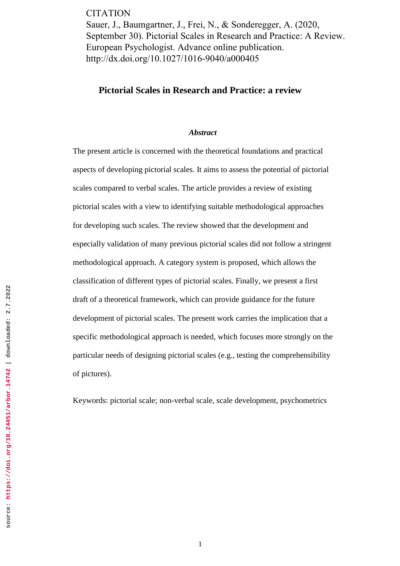**CITATION** Sauer, J., Baumgartner, J., Frei, N., & Sonderegger, A. (2020, September 30). Pictorial Scales in Research and Practice: A Review. European Psychologist. Advance online publication. http://dx.doi.org/10.1027/1016-9040/a000405

# **Pictorial Scales in Research and Practice: a review**

#### *Abstract*

The present article is concerned with the theoretical foundations and practical aspects of developing pictorial scales. It aims to assess the potential of pictorial scales compared to verbal scales. The article provides a review of existing pictorial scales with a view to identifying suitable methodological approaches for developing such scales. The review showed that the development and especially validation of many previous pictorial scales did not follow a stringent methodological approach. A category system is proposed, which allows the classification of different types of pictorial scales. Finally, we present a first draft of a theoretical framework, which can provide guidance for the future development of pictorial scales. The present work carries the implication that a specific methodological approach is needed, which focuses more strongly on the particular needs of designing pictorial scales (e.g., testing the comprehensibility of pictures).

Keywords: pictorial scale; non-verbal scale, scale development, psychometrics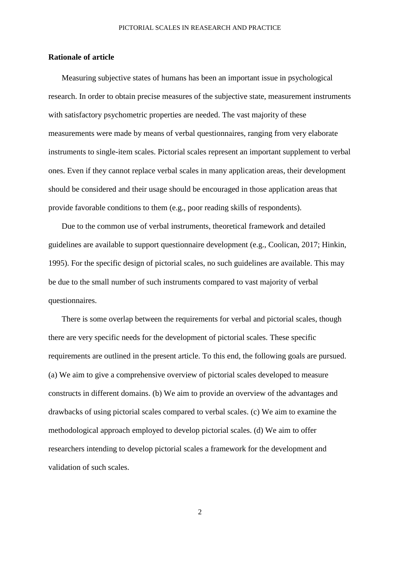## **Rationale of article**

Measuring subjective states of humans has been an important issue in psychological research. In order to obtain precise measures of the subjective state, measurement instruments with satisfactory psychometric properties are needed. The vast majority of these measurements were made by means of verbal questionnaires, ranging from very elaborate instruments to single-item scales. Pictorial scales represent an important supplement to verbal ones. Even if they cannot replace verbal scales in many application areas, their development should be considered and their usage should be encouraged in those application areas that provide favorable conditions to them (e.g., poor reading skills of respondents).

Due to the common use of verbal instruments, theoretical framework and detailed guidelines are available to support questionnaire development (e.g., Coolican, 2017; Hinkin, 1995). For the specific design of pictorial scales, no such guidelines are available. This may be due to the small number of such instruments compared to vast majority of verbal questionnaires.

There is some overlap between the requirements for verbal and pictorial scales, though there are very specific needs for the development of pictorial scales. These specific requirements are outlined in the present article. To this end, the following goals are pursued. (a) We aim to give a comprehensive overview of pictorial scales developed to measure constructs in different domains. (b) We aim to provide an overview of the advantages and drawbacks of using pictorial scales compared to verbal scales. (c) We aim to examine the methodological approach employed to develop pictorial scales. (d) We aim to offer researchers intending to develop pictorial scales a framework for the development and validation of such scales.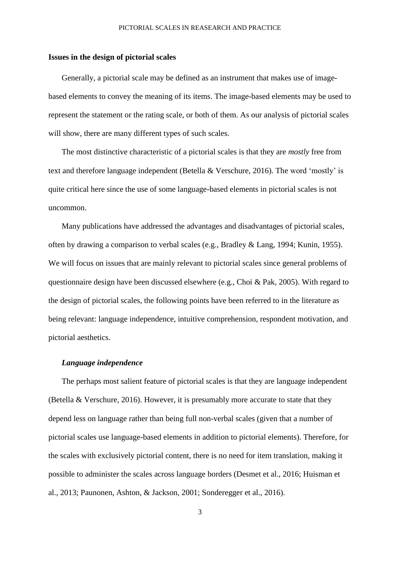## **Issues in the design of pictorial scales**

Generally, a pictorial scale may be defined as an instrument that makes use of imagebased elements to convey the meaning of its items. The image-based elements may be used to represent the statement or the rating scale, or both of them. As our analysis of pictorial scales will show, there are many different types of such scales.

The most distinctive characteristic of a pictorial scales is that they are *mostly* free from text and therefore language independent (Betella & Verschure, 2016). The word 'mostly' is quite critical here since the use of some language-based elements in pictorial scales is not uncommon.

Many publications have addressed the advantages and disadvantages of pictorial scales, often by drawing a comparison to verbal scales (e.g., Bradley & Lang, 1994; Kunin, 1955). We will focus on issues that are mainly relevant to pictorial scales since general problems of questionnaire design have been discussed elsewhere (e.g., Choi & Pak, 2005). With regard to the design of pictorial scales, the following points have been referred to in the literature as being relevant: language independence, intuitive comprehension, respondent motivation, and pictorial aesthetics.

### *Language independence*

The perhaps most salient feature of pictorial scales is that they are language independent (Betella & Verschure, 2016). However, it is presumably more accurate to state that they depend less on language rather than being full non-verbal scales (given that a number of pictorial scales use language-based elements in addition to pictorial elements). Therefore, for the scales with exclusively pictorial content, there is no need for item translation, making it possible to administer the scales across language borders (Desmet et al., 2016; Huisman et al., 2013; Paunonen, Ashton, & Jackson, 2001; Sonderegger et al., 2016).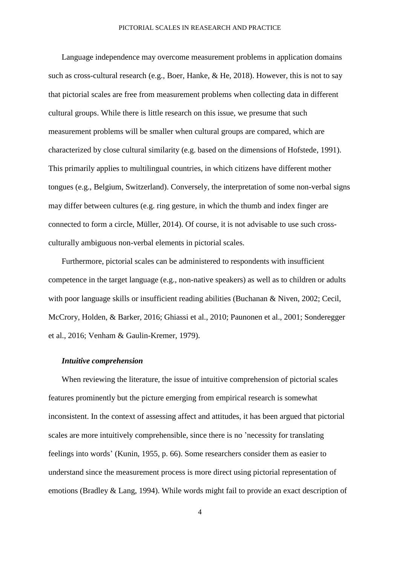Language independence may overcome measurement problems in application domains such as cross-cultural research (e.g., Boer, Hanke, & He, 2018). However, this is not to say that pictorial scales are free from measurement problems when collecting data in different cultural groups. While there is little research on this issue, we presume that such measurement problems will be smaller when cultural groups are compared, which are characterized by close cultural similarity (e.g. based on the dimensions of Hofstede, 1991). This primarily applies to multilingual countries, in which citizens have different mother tongues (e.g., Belgium, Switzerland). Conversely, the interpretation of some non-verbal signs may differ between cultures (e.g. ring gesture, in which the thumb and index finger are connected to form a circle, Müller, 2014). Of course, it is not advisable to use such crossculturally ambiguous non-verbal elements in pictorial scales.

Furthermore, pictorial scales can be administered to respondents with insufficient competence in the target language (e.g., non-native speakers) as well as to children or adults with poor language skills or insufficient reading abilities (Buchanan & Niven, 2002; Cecil, McCrory, Holden, & Barker, 2016; Ghiassi et al., 2010; Paunonen et al., 2001; Sonderegger et al., 2016; Venham & Gaulin-Kremer, 1979).

#### *Intuitive comprehension*

When reviewing the literature, the issue of intuitive comprehension of pictorial scales features prominently but the picture emerging from empirical research is somewhat inconsistent. In the context of assessing affect and attitudes, it has been argued that pictorial scales are more intuitively comprehensible, since there is no 'necessity for translating feelings into words' (Kunin, 1955, p. 66). Some researchers consider them as easier to understand since the measurement process is more direct using pictorial representation of emotions (Bradley & Lang, 1994). While words might fail to provide an exact description of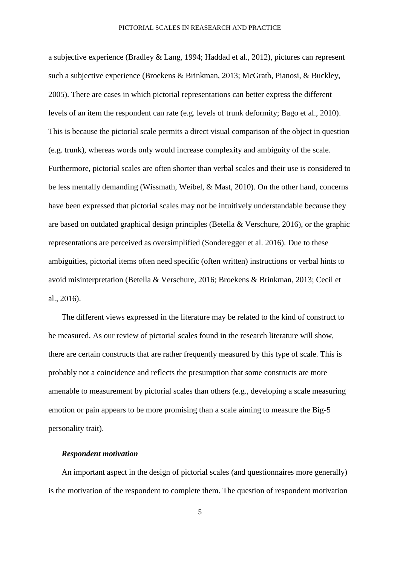a subjective experience (Bradley & Lang, 1994; Haddad et al., 2012), pictures can represent such a subjective experience (Broekens & Brinkman, 2013; McGrath, Pianosi, & Buckley, 2005). There are cases in which pictorial representations can better express the different levels of an item the respondent can rate (e.g. levels of trunk deformity; Bago et al., 2010). This is because the pictorial scale permits a direct visual comparison of the object in question (e.g. trunk), whereas words only would increase complexity and ambiguity of the scale. Furthermore, pictorial scales are often shorter than verbal scales and their use is considered to be less mentally demanding (Wissmath, Weibel, & Mast, 2010). On the other hand, concerns have been expressed that pictorial scales may not be intuitively understandable because they are based on outdated graphical design principles (Betella & Verschure, 2016), or the graphic representations are perceived as oversimplified (Sonderegger et al. 2016). Due to these ambiguities, pictorial items often need specific (often written) instructions or verbal hints to avoid misinterpretation (Betella & Verschure, 2016; Broekens & Brinkman, 2013; Cecil et al., 2016).

The different views expressed in the literature may be related to the kind of construct to be measured. As our review of pictorial scales found in the research literature will show, there are certain constructs that are rather frequently measured by this type of scale. This is probably not a coincidence and reflects the presumption that some constructs are more amenable to measurement by pictorial scales than others (e.g., developing a scale measuring emotion or pain appears to be more promising than a scale aiming to measure the Big-5 personality trait).

## *Respondent motivation*

An important aspect in the design of pictorial scales (and questionnaires more generally) is the motivation of the respondent to complete them. The question of respondent motivation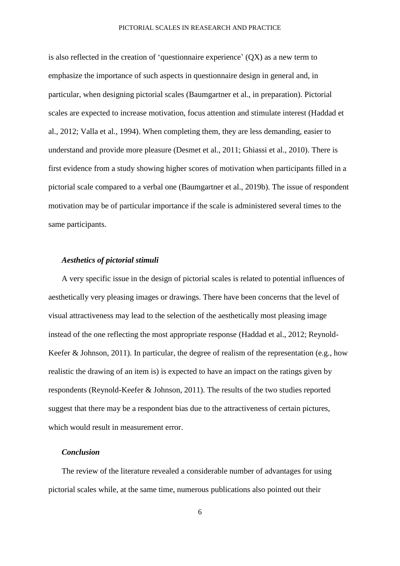is also reflected in the creation of 'questionnaire experience' (QX) as a new term to emphasize the importance of such aspects in questionnaire design in general and, in particular, when designing pictorial scales (Baumgartner et al., in preparation). Pictorial scales are expected to increase motivation, focus attention and stimulate interest (Haddad et al., 2012; Valla et al., 1994). When completing them, they are less demanding, easier to understand and provide more pleasure (Desmet et al., 2011; Ghiassi et al., 2010). There is first evidence from a study showing higher scores of motivation when participants filled in a pictorial scale compared to a verbal one (Baumgartner et al., 2019b). The issue of respondent motivation may be of particular importance if the scale is administered several times to the same participants.

#### *Aesthetics of pictorial stimuli*

A very specific issue in the design of pictorial scales is related to potential influences of aesthetically very pleasing images or drawings. There have been concerns that the level of visual attractiveness may lead to the selection of the aesthetically most pleasing image instead of the one reflecting the most appropriate response (Haddad et al., 2012; Reynold-Keefer & Johnson, 2011). In particular, the degree of realism of the representation (e.g., how realistic the drawing of an item is) is expected to have an impact on the ratings given by respondents (Reynold-Keefer & Johnson, 2011). The results of the two studies reported suggest that there may be a respondent bias due to the attractiveness of certain pictures, which would result in measurement error.

#### *Conclusion*

The review of the literature revealed a considerable number of advantages for using pictorial scales while, at the same time, numerous publications also pointed out their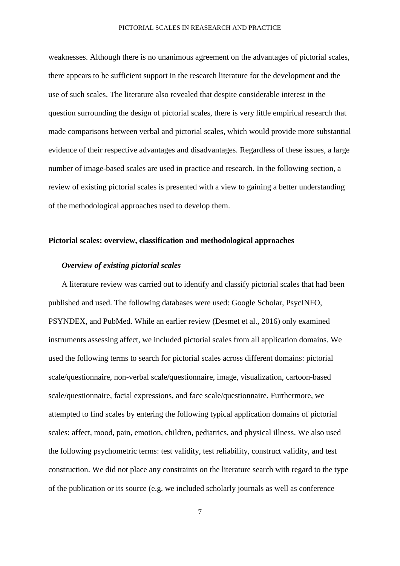weaknesses. Although there is no unanimous agreement on the advantages of pictorial scales, there appears to be sufficient support in the research literature for the development and the use of such scales. The literature also revealed that despite considerable interest in the question surrounding the design of pictorial scales, there is very little empirical research that made comparisons between verbal and pictorial scales, which would provide more substantial evidence of their respective advantages and disadvantages. Regardless of these issues, a large number of image-based scales are used in practice and research. In the following section, a review of existing pictorial scales is presented with a view to gaining a better understanding of the methodological approaches used to develop them.

## **Pictorial scales: overview, classification and methodological approaches**

### *Overview of existing pictorial scales*

A literature review was carried out to identify and classify pictorial scales that had been published and used. The following databases were used: Google Scholar, PsycINFO, PSYNDEX, and PubMed. While an earlier review (Desmet et al., 2016) only examined instruments assessing affect, we included pictorial scales from all application domains. We used the following terms to search for pictorial scales across different domains: pictorial scale/questionnaire, non-verbal scale/questionnaire, image, visualization, cartoon-based scale/questionnaire, facial expressions, and face scale/questionnaire. Furthermore, we attempted to find scales by entering the following typical application domains of pictorial scales: affect, mood, pain, emotion, children, pediatrics, and physical illness. We also used the following psychometric terms: test validity, test reliability, construct validity, and test construction. We did not place any constraints on the literature search with regard to the type of the publication or its source (e.g. we included scholarly journals as well as conference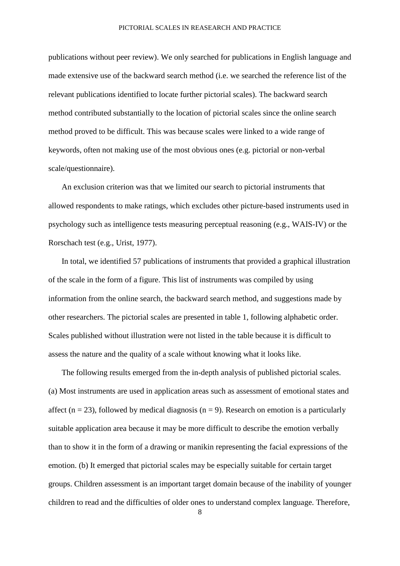publications without peer review). We only searched for publications in English language and made extensive use of the backward search method (i.e. we searched the reference list of the relevant publications identified to locate further pictorial scales). The backward search method contributed substantially to the location of pictorial scales since the online search method proved to be difficult. This was because scales were linked to a wide range of keywords, often not making use of the most obvious ones (e.g. pictorial or non-verbal scale/questionnaire).

An exclusion criterion was that we limited our search to pictorial instruments that allowed respondents to make ratings, which excludes other picture-based instruments used in psychology such as intelligence tests measuring perceptual reasoning (e.g., WAIS-IV) or the Rorschach test (e.g., Urist, 1977).

In total, we identified 57 publications of instruments that provided a graphical illustration of the scale in the form of a figure. This list of instruments was compiled by using information from the online search, the backward search method, and suggestions made by other researchers. The pictorial scales are presented in table 1, following alphabetic order. Scales published without illustration were not listed in the table because it is difficult to assess the nature and the quality of a scale without knowing what it looks like.

The following results emerged from the in-depth analysis of published pictorial scales. (a) Most instruments are used in application areas such as assessment of emotional states and affect (n = 23), followed by medical diagnosis (n = 9). Research on emotion is a particularly suitable application area because it may be more difficult to describe the emotion verbally than to show it in the form of a drawing or manikin representing the facial expressions of the emotion. (b) It emerged that pictorial scales may be especially suitable for certain target groups. Children assessment is an important target domain because of the inability of younger children to read and the difficulties of older ones to understand complex language. Therefore,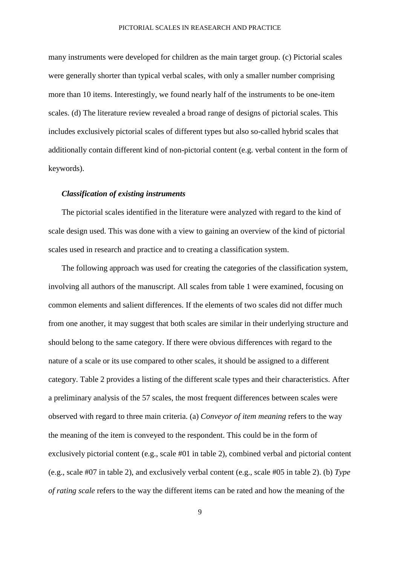many instruments were developed for children as the main target group. (c) Pictorial scales were generally shorter than typical verbal scales, with only a smaller number comprising more than 10 items. Interestingly, we found nearly half of the instruments to be one-item scales. (d) The literature review revealed a broad range of designs of pictorial scales. This includes exclusively pictorial scales of different types but also so-called hybrid scales that additionally contain different kind of non-pictorial content (e.g. verbal content in the form of keywords).

#### *Classification of existing instruments*

The pictorial scales identified in the literature were analyzed with regard to the kind of scale design used. This was done with a view to gaining an overview of the kind of pictorial scales used in research and practice and to creating a classification system.

The following approach was used for creating the categories of the classification system, involving all authors of the manuscript. All scales from table 1 were examined, focusing on common elements and salient differences. If the elements of two scales did not differ much from one another, it may suggest that both scales are similar in their underlying structure and should belong to the same category. If there were obvious differences with regard to the nature of a scale or its use compared to other scales, it should be assigned to a different category. Table 2 provides a listing of the different scale types and their characteristics. After a preliminary analysis of the 57 scales, the most frequent differences between scales were observed with regard to three main criteria. (a) *Conveyor of item meaning* refers to the way the meaning of the item is conveyed to the respondent. This could be in the form of exclusively pictorial content (e.g., scale #01 in table 2), combined verbal and pictorial content (e.g., scale #07 in table 2), and exclusively verbal content (e.g., scale #05 in table 2). (b) *Type of rating scale* refers to the way the different items can be rated and how the meaning of the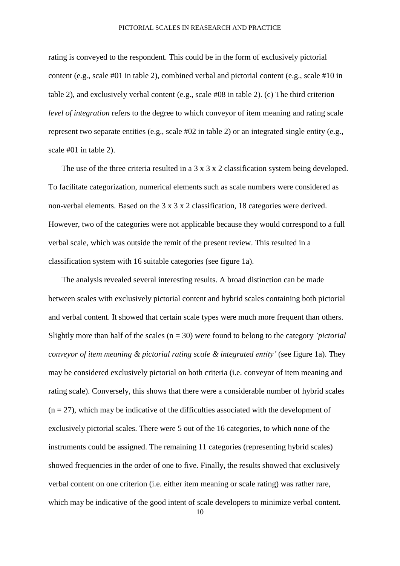rating is conveyed to the respondent. This could be in the form of exclusively pictorial content (e.g., scale #01 in table 2), combined verbal and pictorial content (e.g., scale #10 in table 2), and exclusively verbal content (e.g., scale #08 in table 2). (c) The third criterion *level of integration* refers to the degree to which conveyor of item meaning and rating scale represent two separate entities (e.g., scale #02 in table 2) or an integrated single entity (e.g., scale #01 in table 2).

The use of the three criteria resulted in a 3 x 3 x 2 classification system being developed. To facilitate categorization, numerical elements such as scale numbers were considered as non-verbal elements. Based on the 3 x 3 x 2 classification, 18 categories were derived. However, two of the categories were not applicable because they would correspond to a full verbal scale, which was outside the remit of the present review. This resulted in a classification system with 16 suitable categories (see figure 1a).

The analysis revealed several interesting results. A broad distinction can be made between scales with exclusively pictorial content and hybrid scales containing both pictorial and verbal content. It showed that certain scale types were much more frequent than others. Slightly more than half of the scales (n = 30) were found to belong to the category *'pictorial conveyor of item meaning & pictorial rating scale & integrated entity'* (see figure 1a). They may be considered exclusively pictorial on both criteria (i.e. conveyor of item meaning and rating scale). Conversely, this shows that there were a considerable number of hybrid scales  $(n = 27)$ , which may be indicative of the difficulties associated with the development of exclusively pictorial scales. There were 5 out of the 16 categories, to which none of the instruments could be assigned. The remaining 11 categories (representing hybrid scales) showed frequencies in the order of one to five. Finally, the results showed that exclusively verbal content on one criterion (i.e. either item meaning or scale rating) was rather rare, which may be indicative of the good intent of scale developers to minimize verbal content.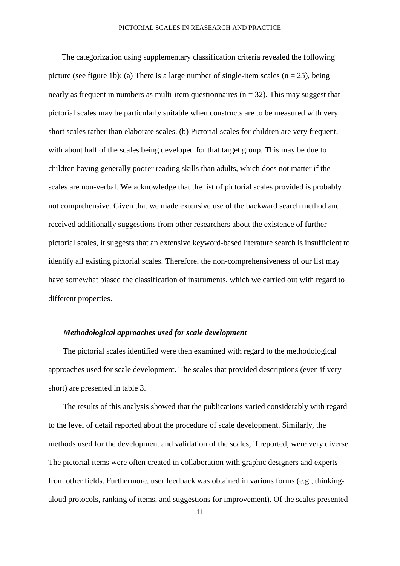The categorization using supplementary classification criteria revealed the following picture (see figure 1b): (a) There is a large number of single-item scales ( $n = 25$ ), being nearly as frequent in numbers as multi-item questionnaires ( $n = 32$ ). This may suggest that pictorial scales may be particularly suitable when constructs are to be measured with very short scales rather than elaborate scales. (b) Pictorial scales for children are very frequent, with about half of the scales being developed for that target group. This may be due to children having generally poorer reading skills than adults, which does not matter if the scales are non-verbal. We acknowledge that the list of pictorial scales provided is probably not comprehensive. Given that we made extensive use of the backward search method and received additionally suggestions from other researchers about the existence of further pictorial scales, it suggests that an extensive keyword-based literature search is insufficient to identify all existing pictorial scales. Therefore, the non-comprehensiveness of our list may have somewhat biased the classification of instruments, which we carried out with regard to different properties.

#### *Methodological approaches used for scale development*

The pictorial scales identified were then examined with regard to the methodological approaches used for scale development. The scales that provided descriptions (even if very short) are presented in table 3.

The results of this analysis showed that the publications varied considerably with regard to the level of detail reported about the procedure of scale development. Similarly, the methods used for the development and validation of the scales, if reported, were very diverse. The pictorial items were often created in collaboration with graphic designers and experts from other fields. Furthermore, user feedback was obtained in various forms (e.g., thinkingaloud protocols, ranking of items, and suggestions for improvement). Of the scales presented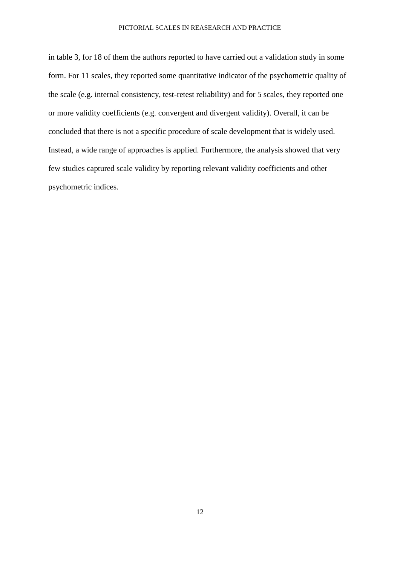in table 3, for 18 of them the authors reported to have carried out a validation study in some form. For 11 scales, they reported some quantitative indicator of the psychometric quality of the scale (e.g. internal consistency, test-retest reliability) and for 5 scales, they reported one or more validity coefficients (e.g. convergent and divergent validity). Overall, it can be concluded that there is not a specific procedure of scale development that is widely used. Instead, a wide range of approaches is applied. Furthermore, the analysis showed that very few studies captured scale validity by reporting relevant validity coefficients and other psychometric indices.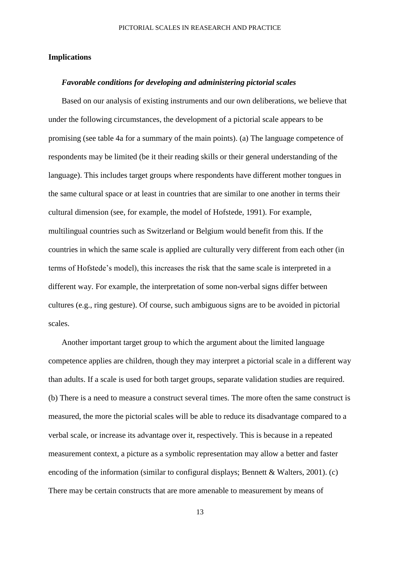### **Implications**

#### *Favorable conditions for developing and administering pictorial scales*

Based on our analysis of existing instruments and our own deliberations, we believe that under the following circumstances, the development of a pictorial scale appears to be promising (see table 4a for a summary of the main points). (a) The language competence of respondents may be limited (be it their reading skills or their general understanding of the language). This includes target groups where respondents have different mother tongues in the same cultural space or at least in countries that are similar to one another in terms their cultural dimension (see, for example, the model of Hofstede, 1991). For example, multilingual countries such as Switzerland or Belgium would benefit from this. If the countries in which the same scale is applied are culturally very different from each other (in terms of Hofstede's model), this increases the risk that the same scale is interpreted in a different way. For example, the interpretation of some non-verbal signs differ between cultures (e.g., ring gesture). Of course, such ambiguous signs are to be avoided in pictorial scales.

Another important target group to which the argument about the limited language competence applies are children, though they may interpret a pictorial scale in a different way than adults. If a scale is used for both target groups, separate validation studies are required. (b) There is a need to measure a construct several times. The more often the same construct is measured, the more the pictorial scales will be able to reduce its disadvantage compared to a verbal scale, or increase its advantage over it, respectively. This is because in a repeated measurement context, a picture as a symbolic representation may allow a better and faster encoding of the information (similar to configural displays; Bennett & Walters, 2001). (c) There may be certain constructs that are more amenable to measurement by means of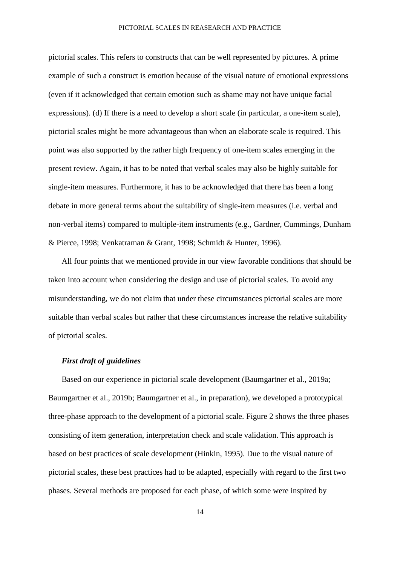pictorial scales. This refers to constructs that can be well represented by pictures. A prime example of such a construct is emotion because of the visual nature of emotional expressions (even if it acknowledged that certain emotion such as shame may not have unique facial expressions). (d) If there is a need to develop a short scale (in particular, a one-item scale), pictorial scales might be more advantageous than when an elaborate scale is required. This point was also supported by the rather high frequency of one-item scales emerging in the present review. Again, it has to be noted that verbal scales may also be highly suitable for single-item measures. Furthermore, it has to be acknowledged that there has been a long debate in more general terms about the suitability of single-item measures (i.e. verbal and non-verbal items) compared to multiple-item instruments (e.g., Gardner, Cummings, Dunham & Pierce, 1998; Venkatraman & Grant, 1998; Schmidt & Hunter, 1996).

All four points that we mentioned provide in our view favorable conditions that should be taken into account when considering the design and use of pictorial scales. To avoid any misunderstanding, we do not claim that under these circumstances pictorial scales are more suitable than verbal scales but rather that these circumstances increase the relative suitability of pictorial scales.

#### *First draft of guidelines*

Based on our experience in pictorial scale development (Baumgartner et al., 2019a; Baumgartner et al., 2019b; Baumgartner et al., in preparation), we developed a prototypical three-phase approach to the development of a pictorial scale. Figure 2 shows the three phases consisting of item generation, interpretation check and scale validation. This approach is based on best practices of scale development (Hinkin, 1995). Due to the visual nature of pictorial scales, these best practices had to be adapted, especially with regard to the first two phases. Several methods are proposed for each phase, of which some were inspired by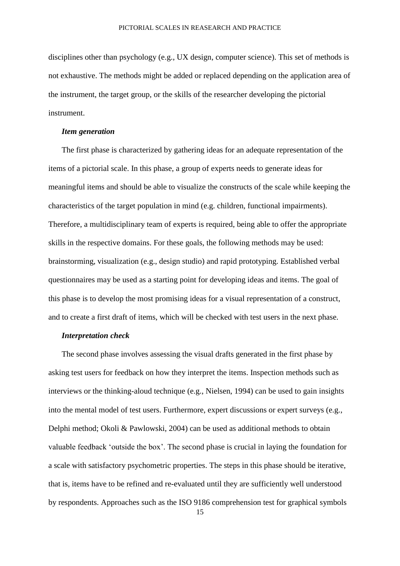disciplines other than psychology (e.g., UX design, computer science). This set of methods is not exhaustive. The methods might be added or replaced depending on the application area of the instrument, the target group, or the skills of the researcher developing the pictorial instrument.

#### *Item generation*

The first phase is characterized by gathering ideas for an adequate representation of the items of a pictorial scale. In this phase, a group of experts needs to generate ideas for meaningful items and should be able to visualize the constructs of the scale while keeping the characteristics of the target population in mind (e.g. children, functional impairments). Therefore, a multidisciplinary team of experts is required, being able to offer the appropriate skills in the respective domains. For these goals, the following methods may be used: brainstorming, visualization (e.g., design studio) and rapid prototyping. Established verbal questionnaires may be used as a starting point for developing ideas and items. The goal of this phase is to develop the most promising ideas for a visual representation of a construct, and to create a first draft of items, which will be checked with test users in the next phase.

## *Interpretation check*

The second phase involves assessing the visual drafts generated in the first phase by asking test users for feedback on how they interpret the items. Inspection methods such as interviews or the thinking-aloud technique (e.g., Nielsen, 1994) can be used to gain insights into the mental model of test users. Furthermore, expert discussions or expert surveys (e.g., Delphi method; Okoli & Pawlowski, 2004) can be used as additional methods to obtain valuable feedback 'outside the box'. The second phase is crucial in laying the foundation for a scale with satisfactory psychometric properties. The steps in this phase should be iterative, that is, items have to be refined and re-evaluated until they are sufficiently well understood by respondents. Approaches such as the ISO 9186 comprehension test for graphical symbols

<sup>15</sup>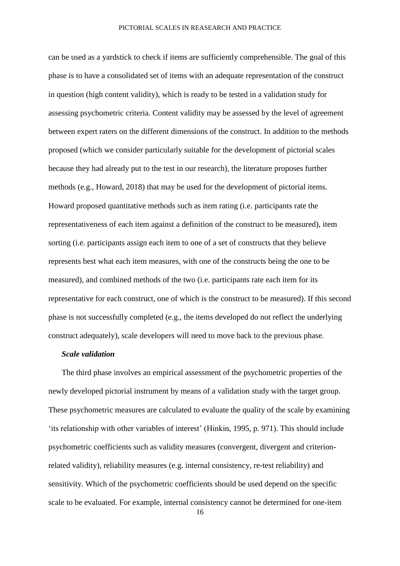can be used as a yardstick to check if items are sufficiently comprehensible. The goal of this phase is to have a consolidated set of items with an adequate representation of the construct in question (high content validity), which is ready to be tested in a validation study for assessing psychometric criteria. Content validity may be assessed by the level of agreement between expert raters on the different dimensions of the construct. In addition to the methods proposed (which we consider particularly suitable for the development of pictorial scales because they had already put to the test in our research), the literature proposes further methods (e.g., Howard, 2018) that may be used for the development of pictorial items. Howard proposed quantitative methods such as item rating (i.e. participants rate the representativeness of each item against a definition of the construct to be measured), item sorting (i.e. participants assign each item to one of a set of constructs that they believe represents best what each item measures, with one of the constructs being the one to be measured), and combined methods of the two (i.e. participants rate each item for its representative for each construct, one of which is the construct to be measured). If this second phase is not successfully completed (e.g., the items developed do not reflect the underlying construct adequately), scale developers will need to move back to the previous phase.

## *Scale validation*

The third phase involves an empirical assessment of the psychometric properties of the newly developed pictorial instrument by means of a validation study with the target group. These psychometric measures are calculated to evaluate the quality of the scale by examining 'its relationship with other variables of interest' (Hinkin, 1995, p. 971). This should include psychometric coefficients such as validity measures (convergent, divergent and criterionrelated validity), reliability measures (e.g. internal consistency, re-test reliability) and sensitivity. Which of the psychometric coefficients should be used depend on the specific scale to be evaluated. For example, internal consistency cannot be determined for one-item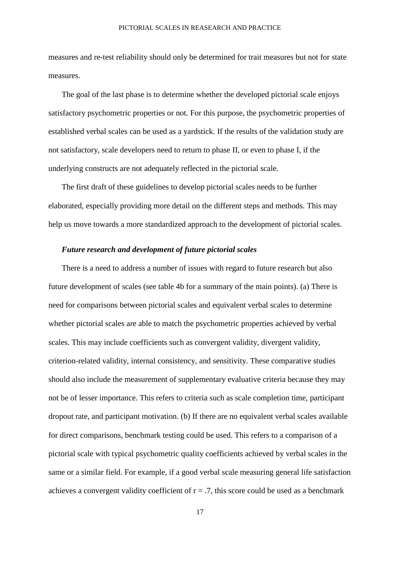measures and re-test reliability should only be determined for trait measures but not for state measures.

The goal of the last phase is to determine whether the developed pictorial scale enjoys satisfactory psychometric properties or not. For this purpose, the psychometric properties of established verbal scales can be used as a yardstick. If the results of the validation study are not satisfactory, scale developers need to return to phase II, or even to phase I, if the underlying constructs are not adequately reflected in the pictorial scale.

The first draft of these guidelines to develop pictorial scales needs to be further elaborated, especially providing more detail on the different steps and methods. This may help us move towards a more standardized approach to the development of pictorial scales.

## *Future research and development of future pictorial scales*

There is a need to address a number of issues with regard to future research but also future development of scales (see table 4b for a summary of the main points). (a) There is need for comparisons between pictorial scales and equivalent verbal scales to determine whether pictorial scales are able to match the psychometric properties achieved by verbal scales. This may include coefficients such as convergent validity, divergent validity, criterion-related validity, internal consistency, and sensitivity. These comparative studies should also include the measurement of supplementary evaluative criteria because they may not be of lesser importance. This refers to criteria such as scale completion time, participant dropout rate, and participant motivation. (b) If there are no equivalent verbal scales available for direct comparisons, benchmark testing could be used. This refers to a comparison of a pictorial scale with typical psychometric quality coefficients achieved by verbal scales in the same or a similar field. For example, if a good verbal scale measuring general life satisfaction achieves a convergent validity coefficient of  $r = .7$ , this score could be used as a benchmark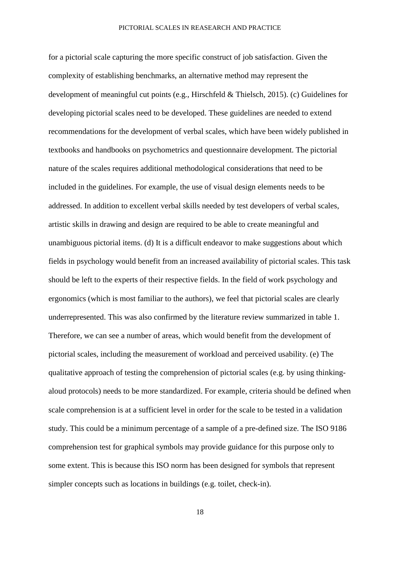for a pictorial scale capturing the more specific construct of job satisfaction. Given the complexity of establishing benchmarks, an alternative method may represent the development of meaningful cut points (e.g., Hirschfeld & Thielsch, 2015). (c) Guidelines for developing pictorial scales need to be developed. These guidelines are needed to extend recommendations for the development of verbal scales, which have been widely published in textbooks and handbooks on psychometrics and questionnaire development. The pictorial nature of the scales requires additional methodological considerations that need to be included in the guidelines. For example, the use of visual design elements needs to be addressed. In addition to excellent verbal skills needed by test developers of verbal scales, artistic skills in drawing and design are required to be able to create meaningful and unambiguous pictorial items. (d) It is a difficult endeavor to make suggestions about which fields in psychology would benefit from an increased availability of pictorial scales. This task should be left to the experts of their respective fields. In the field of work psychology and ergonomics (which is most familiar to the authors), we feel that pictorial scales are clearly underrepresented. This was also confirmed by the literature review summarized in table 1. Therefore, we can see a number of areas, which would benefit from the development of pictorial scales, including the measurement of workload and perceived usability. (e) The qualitative approach of testing the comprehension of pictorial scales (e.g. by using thinkingaloud protocols) needs to be more standardized. For example, criteria should be defined when scale comprehension is at a sufficient level in order for the scale to be tested in a validation study. This could be a minimum percentage of a sample of a pre-defined size. The ISO 9186 comprehension test for graphical symbols may provide guidance for this purpose only to some extent. This is because this ISO norm has been designed for symbols that represent simpler concepts such as locations in buildings (e.g. toilet, check-in).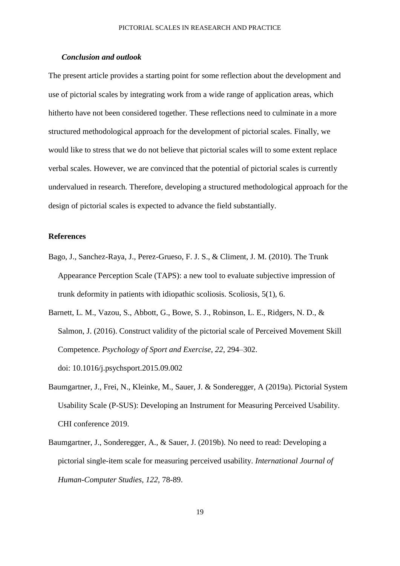## *Conclusion and outlook*

The present article provides a starting point for some reflection about the development and use of pictorial scales by integrating work from a wide range of application areas, which hitherto have not been considered together. These reflections need to culminate in a more structured methodological approach for the development of pictorial scales. Finally, we would like to stress that we do not believe that pictorial scales will to some extent replace verbal scales. However, we are convinced that the potential of pictorial scales is currently undervalued in research. Therefore, developing a structured methodological approach for the design of pictorial scales is expected to advance the field substantially.

### **References**

- Bago, J., Sanchez-Raya, J., Perez-Grueso, F. J. S., & Climent, J. M. (2010). The Trunk Appearance Perception Scale (TAPS): a new tool to evaluate subjective impression of trunk deformity in patients with idiopathic scoliosis. Scoliosis, 5(1), 6.
- Barnett, L. M., Vazou, S., Abbott, G., Bowe, S. J., Robinson, L. E., Ridgers, N. D., & Salmon, J. (2016). Construct validity of the pictorial scale of Perceived Movement Skill Competence. *Psychology of Sport and Exercise*, *22*, 294–302. doi: 10.1016/j.psychsport.2015.09.002
- Baumgartner, J., Frei, N., Kleinke, M., Sauer, J. & Sonderegger, A (2019a). Pictorial System Usability Scale (P-SUS): Developing an Instrument for Measuring Perceived Usability. CHI conference 2019.
- Baumgartner, J., Sonderegger, A., & Sauer, J. (2019b). No need to read: Developing a pictorial single-item scale for measuring perceived usability. *International Journal of Human-Computer Studies, 122,* 78-89.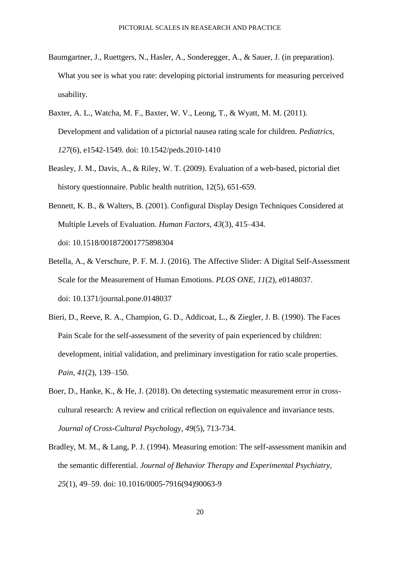- Baumgartner, J., Ruettgers, N., Hasler, A., Sonderegger, A., & Sauer, J. (in preparation). What you see is what you rate: developing pictorial instruments for measuring perceived usability.
- Baxter, A. L., Watcha, M. F., Baxter, W. V., Leong, T., & Wyatt, M. M. (2011). Development and validation of a pictorial nausea rating scale for children. *Pediatrics*, *127*(6), e1542-1549. doi: 10.1542/peds.2010-1410
- Beasley, J. M., Davis, A., & Riley, W. T. (2009). Evaluation of a web-based, pictorial diet history questionnaire. Public health nutrition, 12(5), 651-659.
- Bennett, K. B., & Walters, B. (2001). Configural Display Design Techniques Considered at Multiple Levels of Evaluation. *Human Factors*, *43*(3), 415–434. doi: 10.1518/001872001775898304
- Betella, A., & Verschure, P. F. M. J. (2016). The Affective Slider: A Digital Self-Assessment Scale for the Measurement of Human Emotions. *PLOS ONE*, *11*(2), e0148037. doi: 10.1371/journal.pone.0148037
- Bieri, D., Reeve, R. A., Champion, G. D., Addicoat, L., & Ziegler, J. B. (1990). The Faces Pain Scale for the self-assessment of the severity of pain experienced by children: development, initial validation, and preliminary investigation for ratio scale properties. *Pain*, *41*(2), 139–150.
- Boer, D., Hanke, K., & He, J. (2018). On detecting systematic measurement error in crosscultural research: A review and critical reflection on equivalence and invariance tests. *Journal of Cross-Cultural Psychology, 49*(5), 713-734.
- Bradley, M. M., & Lang, P. J. (1994). Measuring emotion: The self-assessment manikin and the semantic differential. *Journal of Behavior Therapy and Experimental Psychiatry*, *25*(1), 49–59. doi: 10.1016/0005-7916(94)90063-9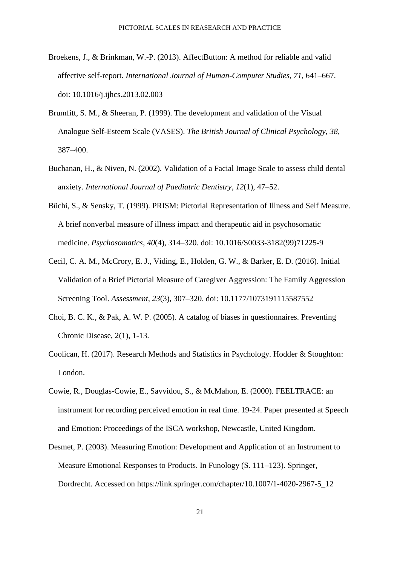- Broekens, J., & Brinkman, W.-P. (2013). AffectButton: A method for reliable and valid affective self-report. *International Journal of Human-Computer Studies*, *71*, 641–667. doi: 10.1016/j.ijhcs.2013.02.003
- Brumfitt, S. M., & Sheeran, P. (1999). The development and validation of the Visual Analogue Self-Esteem Scale (VASES). *The British Journal of Clinical Psychology*, *38*, 387–400.
- Buchanan, H., & Niven, N. (2002). Validation of a Facial Image Scale to assess child dental anxiety. *International Journal of Paediatric Dentistry*, *12*(1), 47–52.
- Büchi, S., & Sensky, T. (1999). PRISM: Pictorial Representation of Illness and Self Measure. A brief nonverbal measure of illness impact and therapeutic aid in psychosomatic medicine. *Psychosomatics*, *40*(4), 314–320. doi: 10.1016/S0033-3182(99)71225-9
- Cecil, C. A. M., McCrory, E. J., Viding, E., Holden, G. W., & Barker, E. D. (2016). Initial Validation of a Brief Pictorial Measure of Caregiver Aggression: The Family Aggression Screening Tool. *Assessment*, *23*(3), 307–320. doi: 10.1177/1073191115587552
- Choi, B. C. K., & Pak, A. W. P. (2005). A catalog of biases in questionnaires. Preventing Chronic Disease, 2(1), 1-13.
- Coolican, H. (2017). Research Methods and Statistics in Psychology. Hodder & Stoughton: London.
- Cowie, R., Douglas-Cowie, E., Savvidou, S., & McMahon, E. (2000). FEELTRACE: an instrument for recording perceived emotion in real time. 19-24. Paper presented at Speech and Emotion: Proceedings of the ISCA workshop, Newcastle, United Kingdom.
- Desmet, P. (2003). Measuring Emotion: Development and Application of an Instrument to Measure Emotional Responses to Products. In Funology (S. 111–123). Springer, Dordrecht. Accessed on https://link.springer.com/chapter/10.1007/1-4020-2967-5\_12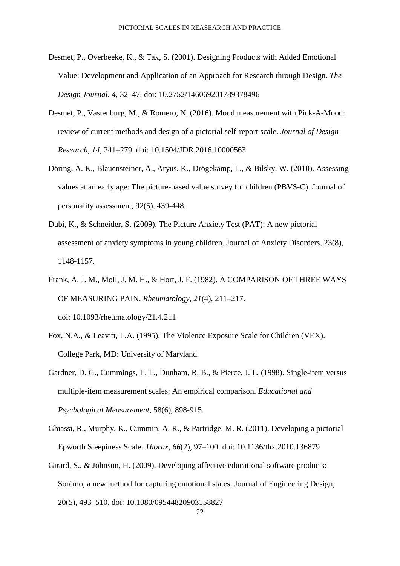- Desmet, P., Overbeeke, K., & Tax, S. (2001). Designing Products with Added Emotional Value: Development and Application of an Approach for Research through Design. *The Design Journal*, *4*, 32–47. doi: 10.2752/146069201789378496
- Desmet, P., Vastenburg, M., & Romero, N. (2016). Mood measurement with Pick-A-Mood: review of current methods and design of a pictorial self-report scale. *Journal of Design Research*, *14*, 241–279. doi: 10.1504/JDR.2016.10000563
- Döring, A. K., Blauensteiner, A., Aryus, K., Drögekamp, L., & Bilsky, W. (2010). Assessing values at an early age: The picture-based value survey for children (PBVS-C). Journal of personality assessment, 92(5), 439-448.
- Dubi, K., & Schneider, S. (2009). The Picture Anxiety Test (PAT): A new pictorial assessment of anxiety symptoms in young children. Journal of Anxiety Disorders, 23(8), 1148-1157.
- Frank, A. J. M., Moll, J. M. H., & Hort, J. F. (1982). A COMPARISON OF THREE WAYS OF MEASURING PAIN. *Rheumatology*, *21*(4), 211–217.

doi: 10.1093/rheumatology/21.4.211

- Fox, N.A., & Leavitt, L.A. (1995). The Violence Exposure Scale for Children (VEX). College Park, MD: University of Maryland.
- Gardner, D. G., Cummings, L. L., Dunham, R. B., & Pierce, J. L. (1998). Single-item versus multiple-item measurement scales: An empirical comparison. *Educational and Psychological Measurement*, 58(6), 898-915.
- Ghiassi, R., Murphy, K., Cummin, A. R., & Partridge, M. R. (2011). Developing a pictorial Epworth Sleepiness Scale. *Thorax*, *66*(2), 97–100. doi: 10.1136/thx.2010.136879
- Girard, S., & Johnson, H. (2009). Developing affective educational software products: Sorémo, a new method for capturing emotional states. Journal of Engineering Design, 20(5), 493–510. doi: 10.1080/09544820903158827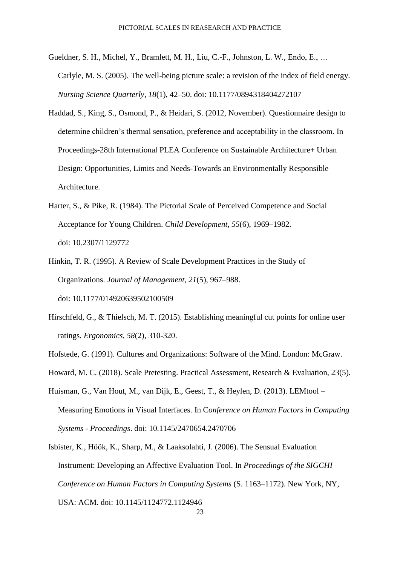- Gueldner, S. H., Michel, Y., Bramlett, M. H., Liu, C.-F., Johnston, L. W., Endo, E., … Carlyle, M. S. (2005). The well-being picture scale: a revision of the index of field energy. *Nursing Science Quarterly*, *18*(1), 42–50. doi: 10.1177/0894318404272107
- Haddad, S., King, S., Osmond, P., & Heidari, S. (2012, November). Questionnaire design to determine children's thermal sensation, preference and acceptability in the classroom. In Proceedings-28th International PLEA Conference on Sustainable Architecture+ Urban Design: Opportunities, Limits and Needs-Towards an Environmentally Responsible Architecture.
- Harter, S., & Pike, R. (1984). The Pictorial Scale of Perceived Competence and Social Acceptance for Young Children. *Child Development*, *55*(6), 1969–1982. doi: 10.2307/1129772
- Hinkin, T. R. (1995). A Review of Scale Development Practices in the Study of Organizations. *Journal of Management*, *21*(5), 967–988. doi: 10.1177/014920639502100509
- Hirschfeld, G., & Thielsch, M. T. (2015). Establishing meaningful cut points for online user ratings. *Ergonomics, 58*(2), 310-320.
- Hofstede, G. (1991). Cultures and Organizations: Software of the Mind. London: McGraw.
- Howard, M. C. (2018). Scale Pretesting. Practical Assessment, Research & Evaluation, 23(5).
- Huisman, G., Van Hout, M., van Dijk, E., Geest, T., & Heylen, D. (2013). LEMtool Measuring Emotions in Visual Interfaces. In C*onference on Human Factors in Computing Systems - Proceedings*. doi: 10.1145/2470654.2470706
- Isbister, K., Höök, K., Sharp, M., & Laaksolahti, J. (2006). The Sensual Evaluation Instrument: Developing an Affective Evaluation Tool. In *Proceedings of the SIGCHI Conference on Human Factors in Computing Systems* (S. 1163–1172). New York, NY, USA: ACM. doi: 10.1145/1124772.1124946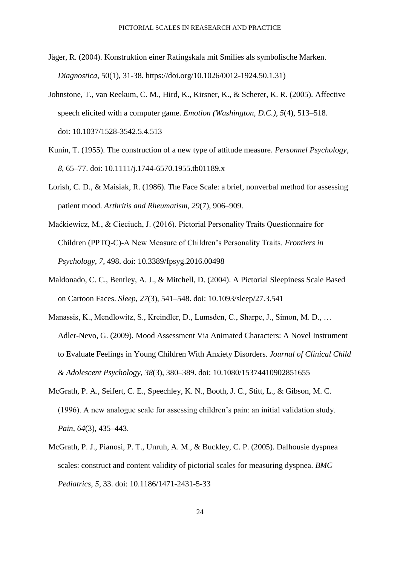- Jäger, R. (2004). Konstruktion einer Ratingskala mit Smilies als symbolische Marken. *Diagnostica*, 50(1), 31-38. https://doi.org/10.1026/0012-1924.50.1.31)
- Johnstone, T., van Reekum, C. M., Hird, K., Kirsner, K., & Scherer, K. R. (2005). Affective speech elicited with a computer game. *Emotion (Washington, D.C.)*, *5*(4), 513–518. doi: 10.1037/1528-3542.5.4.513
- Kunin, T. (1955). The construction of a new type of attitude measure. *Personnel Psychology*, *8*, 65–77. doi: 10.1111/j.1744-6570.1955.tb01189.x
- Lorish, C. D., & Maisiak, R. (1986). The Face Scale: a brief, nonverbal method for assessing patient mood. *Arthritis and Rheumatism*, *29*(7), 906–909.
- Maćkiewicz, M., & Cieciuch, J. (2016). Pictorial Personality Traits Questionnaire for Children (PPTQ-C)-A New Measure of Children's Personality Traits. *Frontiers in Psychology*, *7*, 498. doi: 10.3389/fpsyg.2016.00498
- Maldonado, C. C., Bentley, A. J., & Mitchell, D. (2004). A Pictorial Sleepiness Scale Based on Cartoon Faces. *Sleep*, *27*(3), 541–548. doi: 10.1093/sleep/27.3.541
- Manassis, K., Mendlowitz, S., Kreindler, D., Lumsden, C., Sharpe, J., Simon, M. D., … Adler-Nevo, G. (2009). Mood Assessment Via Animated Characters: A Novel Instrument to Evaluate Feelings in Young Children With Anxiety Disorders. *Journal of Clinical Child & Adolescent Psychology*, *38*(3), 380–389. doi: 10.1080/15374410902851655
- McGrath, P. A., Seifert, C. E., Speechley, K. N., Booth, J. C., Stitt, L., & Gibson, M. C. (1996). A new analogue scale for assessing children's pain: an initial validation study. *Pain*, *64*(3), 435–443.
- McGrath, P. J., Pianosi, P. T., Unruh, A. M., & Buckley, C. P. (2005). Dalhousie dyspnea scales: construct and content validity of pictorial scales for measuring dyspnea. *BMC Pediatrics*, *5*, 33. doi: 10.1186/1471-2431-5-33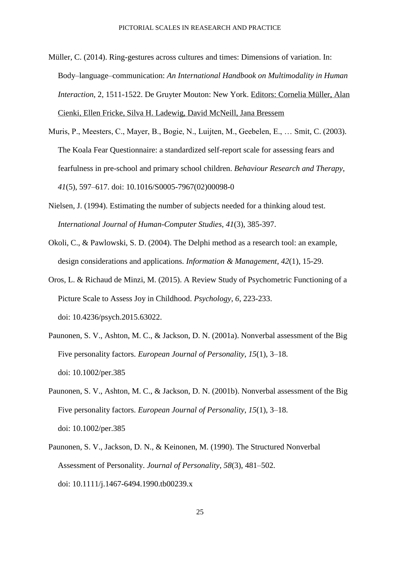- Müller, C. (2014). Ring-gestures across cultures and times: Dimensions of variation. In: Body–language–communication: *An International Handbook on Multimodality in Human Interaction*, 2, 1511-1522. De Gruyter Mouton: New York. Editors: Cornelia Müller, Alan Cienki, Ellen Fricke, Silva H. Ladewig, David McNeill, Jana Bressem
- Muris, P., Meesters, C., Mayer, B., Bogie, N., Luijten, M., Geebelen, E., … Smit, C. (2003). The Koala Fear Questionnaire: a standardized self-report scale for assessing fears and fearfulness in pre-school and primary school children. *Behaviour Research and Therapy*, *41*(5), 597–617. doi: 10.1016/S0005-7967(02)00098-0
- Nielsen, J. (1994). Estimating the number of subjects needed for a thinking aloud test. *International Journal of Human-Computer Studies*, *41*(3), 385-397.
- Okoli, C., & Pawlowski, S. D. (2004). The Delphi method as a research tool: an example, design considerations and applications. *Information & Management*, *42*(1), 15-29.
- Oros, L. & Richaud de Minzi, M. (2015). A Review Study of Psychometric Functioning of a Picture Scale to Assess Joy in Childhood. *Psychology*, *6*, 223-233. doi: 10.4236/psych.2015.63022.
- Paunonen, S. V., Ashton, M. C., & Jackson, D. N. (2001a). Nonverbal assessment of the Big Five personality factors. *European Journal of Personality*, *15*(1), 3–18. doi: 10.1002/per.385
- Paunonen, S. V., Ashton, M. C., & Jackson, D. N. (2001b). Nonverbal assessment of the Big Five personality factors. *European Journal of Personality*, *15*(1), 3–18. doi: 10.1002/per.385
- Paunonen, S. V., Jackson, D. N., & Keinonen, M. (1990). The Structured Nonverbal Assessment of Personality. *Journal of Personality*, *58*(3), 481–502. doi: 10.1111/j.1467-6494.1990.tb00239.x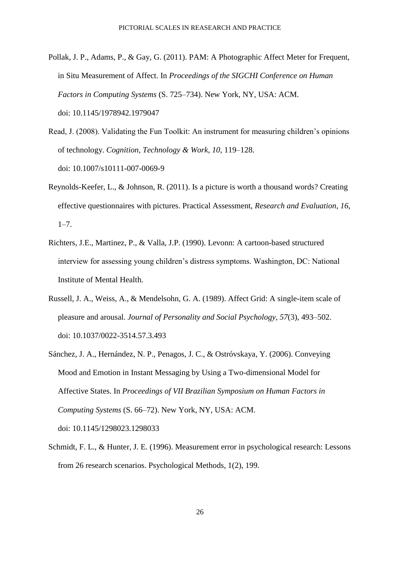- Pollak, J. P., Adams, P., & Gay, G. (2011). PAM: A Photographic Affect Meter for Frequent, in Situ Measurement of Affect. In *Proceedings of the SIGCHI Conference on Human Factors in Computing Systems* (S. 725–734). New York, NY, USA: ACM. doi: 10.1145/1978942.1979047
- Read, J. (2008). Validating the Fun Toolkit: An instrument for measuring children's opinions of technology. *Cognition, Technology & Work*, *10*, 119–128. doi: 10.1007/s10111-007-0069-9
- Reynolds-Keefer, L., & Johnson, R. (2011). Is a picture is worth a thousand words? Creating effective questionnaires with pictures. Practical Assessment, *Research and Evaluation*, *16*, 1–7.
- Richters, J.E., Martinez, P., & Valla, J.P. (1990). Levonn: A cartoon-based structured interview for assessing young children's distress symptoms. Washington, DC: National Institute of Mental Health.
- Russell, J. A., Weiss, A., & Mendelsohn, G. A. (1989). Affect Grid: A single-item scale of pleasure and arousal. *Journal of Personality and Social Psychology*, *57*(3), 493–502. doi: 10.1037/0022-3514.57.3.493
- Sánchez, J. A., Hernández, N. P., Penagos, J. C., & Ostróvskaya, Y. (2006). Conveying Mood and Emotion in Instant Messaging by Using a Two-dimensional Model for Affective States. In *Proceedings of VII Brazilian Symposium on Human Factors in Computing Systems* (S. 66–72). New York, NY, USA: ACM. doi: 10.1145/1298023.1298033
- Schmidt, F. L., & Hunter, J. E. (1996). Measurement error in psychological research: Lessons from 26 research scenarios. Psychological Methods, 1(2), 199.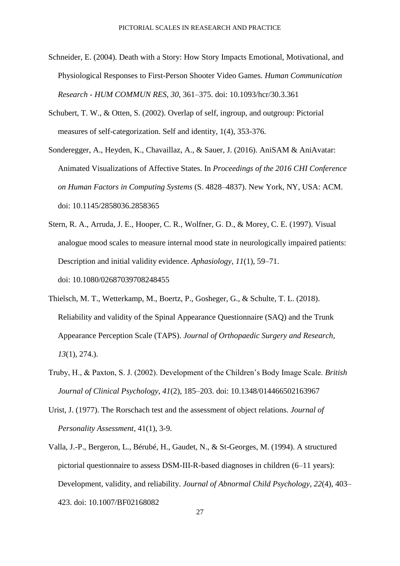- Schneider, E. (2004). Death with a Story: How Story Impacts Emotional, Motivational, and Physiological Responses to First-Person Shooter Video Games*. Human Communication Research - HUM COMMUN RES*, *30*, 361–375. doi: 10.1093/hcr/30.3.361
- Schubert, T. W., & Otten, S. (2002). Overlap of self, ingroup, and outgroup: Pictorial measures of self-categorization. Self and identity, 1(4), 353-376.
- Sonderegger, A., Heyden, K., Chavaillaz, A., & Sauer, J. (2016). AniSAM & AniAvatar: Animated Visualizations of Affective States. In *Proceedings of the 2016 CHI Conference on Human Factors in Computing Systems* (S. 4828–4837). New York, NY, USA: ACM. doi: 10.1145/2858036.2858365
- Stern, R. A., Arruda, J. E., Hooper, C. R., Wolfner, G. D., & Morey, C. E. (1997). Visual analogue mood scales to measure internal mood state in neurologically impaired patients: Description and initial validity evidence. *Aphasiology*, *11*(1), 59–71. doi: 10.1080/02687039708248455
- Thielsch, M. T., Wetterkamp, M., Boertz, P., Gosheger, G., & Schulte, T. L. (2018). Reliability and validity of the Spinal Appearance Questionnaire (SAQ) and the Trunk Appearance Perception Scale (TAPS). *Journal of Orthopaedic Surgery and Research, 13*(1), 274.).
- Truby, H., & Paxton, S. J. (2002). Development of the Children's Body Image Scale. *British Journal of Clinical Psychology*, *41*(2), 185–203. doi: 10.1348/014466502163967
- Urist, J. (1977). The Rorschach test and the assessment of object relations. *Journal of Personality Assessment*, 41(1), 3-9.
- Valla, J.-P., Bergeron, L., Bérubé, H., Gaudet, N., & St-Georges, M. (1994). A structured pictorial questionnaire to assess DSM-III-R-based diagnoses in children (6–11 years): Development, validity, and reliability. *Journal of Abnormal Child Psychology*, *22*(4), 403– 423. doi: 10.1007/BF02168082